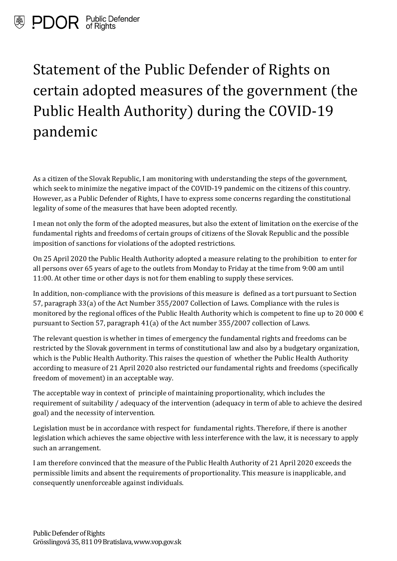## Statement of the Public Defender of Rights on certain adopted measures of the government (the Public Health Authority) during the COVID-19 pandemic

As a citizen of the Slovak Republic, I am monitoring with understanding the steps of the government, which seek to minimize the negative impact of the COVID-19 pandemic on the citizens of this country. However, as a Public Defender of Rights, I have to express some concerns regarding the constitutional legality of some of the measures that have been adopted recently.

I mean not only the form of the adopted measures, but also the extent of limitation on the exercise of the fundamental rights and freedoms of certain groups of citizens of the Slovak Republic and the possible imposition of sanctions for violations of the adopted restrictions.

On 25 April 2020 the Public Health Authority adopted a measure relating to the prohibition to enter for all persons over 65 years of age to the outlets from Monday to Friday at the time from 9:00 am until 11:00. At other time or other days is not for them enabling to supply these services.

In addition, non-compliance with the provisions of this measure is defined as a tort pursuant to Section 57, paragraph 33(a) of the Act Number 355/2007 Collection of Laws. Compliance with the rules is monitored by the regional offices of the Public Health Authority which is competent to fine up to 20 000  $\epsilon$ pursuant to Section 57, paragraph 41(a) of the Act number 355/2007 collection of Laws.

The relevant question is whether in times of emergency the fundamental rights and freedoms can be restricted by the Slovak government in terms of constitutional law and also by a budgetary organization, which is the Public Health Authority. This raises the question of whether the Public Health Authority according to measure of 21 April 2020 also restricted our fundamental rights and freedoms (specifically freedom of movement) in an acceptable way.

The acceptable way in context of principle of maintaining proportionality, which includes the requirement of suitability / adequacy of the intervention (adequacy in term of able to achieve the desired goal) and the necessity of intervention.

Legislation must be in accordance with respect for fundamental rights. Therefore, if there is another legislation which achieves the same objective with less interference with the law, it is necessary to apply such an arrangement.

I am therefore convinced that the measure of the Public Health Authority of 21 April 2020 exceeds the permissible limits and absent the requirements of proportionality. This measure is inapplicable, and consequently unenforceable against individuals.